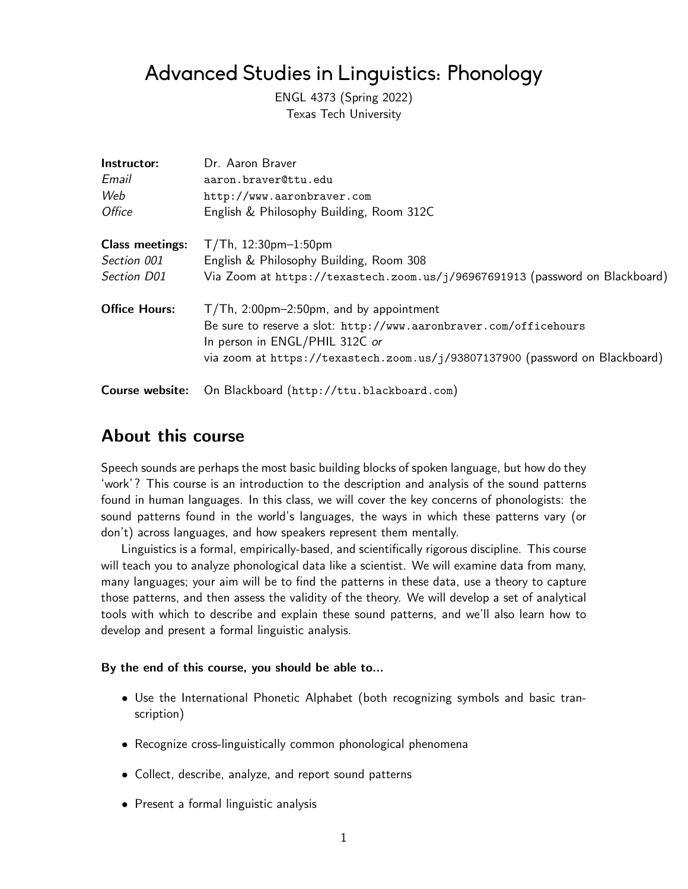# Advanced Studies in Linguistics: Phonology

ENGL 4373 (Spring 2022) Texas Tech University

| Instructor:            | Dr. Aaron Braver                                                                                    |  |  |
|------------------------|-----------------------------------------------------------------------------------------------------|--|--|
| Email                  | aaron.braver@ttu.edu                                                                                |  |  |
| Web                    | http://www.aaronbraver.com                                                                          |  |  |
| <i>Office</i>          | English & Philosophy Building, Room 312C                                                            |  |  |
| <b>Class meetings:</b> | $T/Th$ , 12:30pm-1:50pm                                                                             |  |  |
| Section 001            | English & Philosophy Building, Room 308                                                             |  |  |
| Section D01            | Via Zoom at https://texastech.zoom.us/j/96967691913 (password on Blackboard)                        |  |  |
| <b>Office Hours:</b>   | $T/Th$ , 2:00pm-2:50pm, and by appointment                                                          |  |  |
|                        | Be sure to reserve a slot: http://www.aaronbraver.com/officehours<br>In person in ENGL/PHIL 312C or |  |  |
|                        | via zoom at https://texastech.zoom.us/j/93807137900 (password on Blackboard)                        |  |  |
| Course website:        | On Blackboard (http://ttu.blackboard.com)                                                           |  |  |

# **About this course**

Speech sounds are perhaps the most basic building blocks of spoken language, but how do they 'work'? This course is an introduction to the description and analysis of the sound patterns found in human languages. In this class, we will cover the key concerns of phonologists: the sound patterns found in the world's languages, the ways in which these patterns vary (or don't) across languages, and how speakers represent them mentally.

Linguistics is a formal, empirically-based, and scientifically rigorous discipline. This course will teach you to analyze phonological data like a scientist. We will examine data from many, many languages; your aim will be to find the patterns in these data, use a theory to capture those patterns, and then assess the validity of the theory. We will develop a set of analytical tools with which to describe and explain these sound patterns, and we'll also learn how to develop and present a formal linguistic analysis.

#### **By the end of this course, you should be able to…**

- Use the International Phonetic Alphabet (both recognizing symbols and basic transcription)
- Recognize cross-linguistically common phonological phenomena
- Collect, describe, analyze, and report sound patterns
- Present a formal linguistic analysis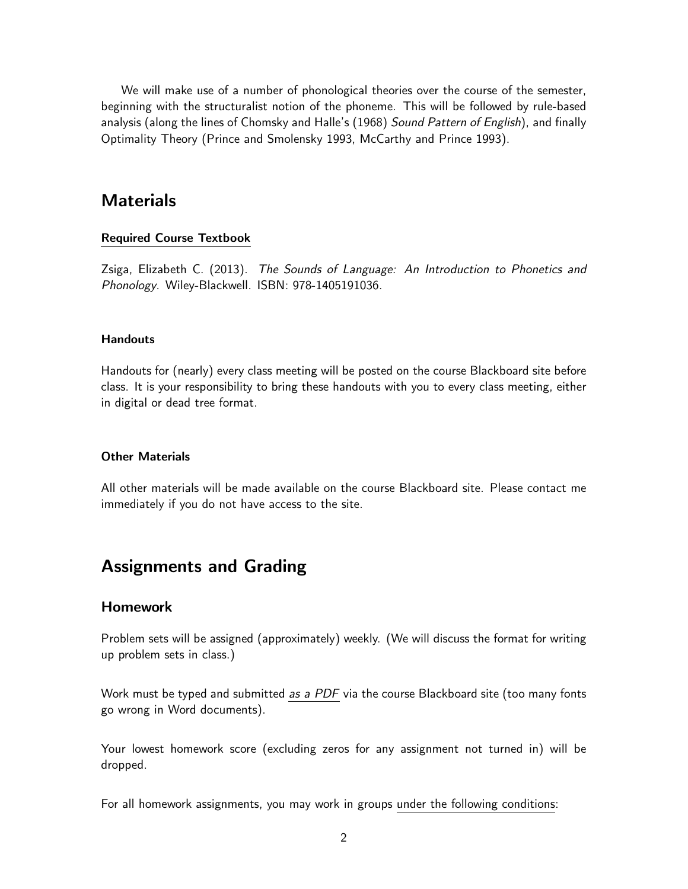We will make use of a number of phonological theories over the course of the semester, beginning with the structuralist notion of the phoneme. This will be followed by rule-based analysis (along the lines of Chomsky and Halle's (1968) *Sound Pattern of English*), and finally Optimality Theory (Prince and Smolensky 1993, McCarthy and Prince 1993).

# **Materials**

#### **Required Course Textbook**

Zsiga, Elizabeth C. (2013). *The Sounds of Language: An Introduction to Phonetics and Phonology*. Wiley-Blackwell. ISBN: 978-1405191036.

#### **Handouts**

Handouts for (nearly) every class meeting will be posted on the course Blackboard site before class. It is your responsibility to bring these handouts with you to every class meeting, either in digital or dead tree format.

#### **Other Materials**

All other materials will be made available on the course Blackboard site. Please contact me immediately if you do not have access to the site.

# **Assignments and Grading**

#### **Homework**

Problem sets will be assigned (approximately) weekly. (We will discuss the format for writing up problem sets in class.)

Work must be typed and submitted *as a PDF* via the course Blackboard site (too many fonts go wrong in Word documents).

Your lowest homework score (excluding zeros for any assignment not turned in) will be dropped.

For all homework assignments, you may work in groups under the following conditions: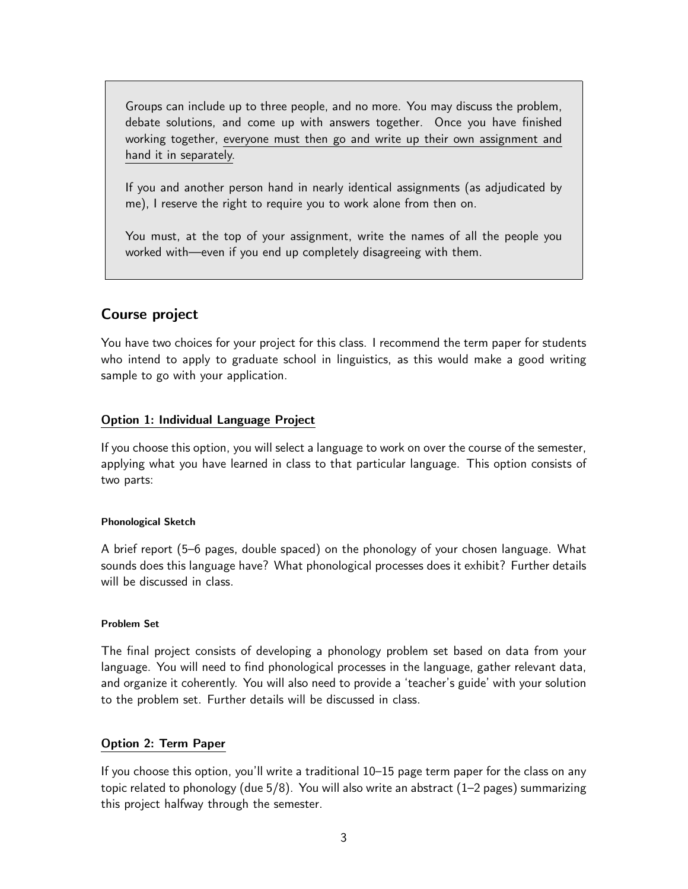Groups can include up to three people, and no more. You may discuss the problem, debate solutions, and come up with answers together. Once you have finished working together, everyone must then go and write up their own assignment and hand it in separately.

If you and another person hand in nearly identical assignments (as adjudicated by me), I reserve the right to require you to work alone from then on.

You must, at the top of your assignment, write the names of all the people you worked with—even if you end up completely disagreeing with them.

# **Course project**

You have two choices for your project for this class. I recommend the term paper for students who intend to apply to graduate school in linguistics, as this would make a good writing sample to go with your application.

## **Option 1: Individual Language Project**

If you choose this option, you will select a language to work on over the course of the semester, applying what you have learned in class to that particular language. This option consists of two parts:

#### **Phonological Sketch**

A brief report (5–6 pages, double spaced) on the phonology of your chosen language. What sounds does this language have? What phonological processes does it exhibit? Further details will be discussed in class.

#### **Problem Set**

The final project consists of developing a phonology problem set based on data from your language. You will need to find phonological processes in the language, gather relevant data, and organize it coherently. You will also need to provide a 'teacher's guide' with your solution to the problem set. Further details will be discussed in class.

## **Option 2: Term Paper**

If you choose this option, you'll write a traditional 10–15 page term paper for the class on any topic related to phonology (due 5/8). You will also write an abstract (1–2 pages) summarizing this project halfway through the semester.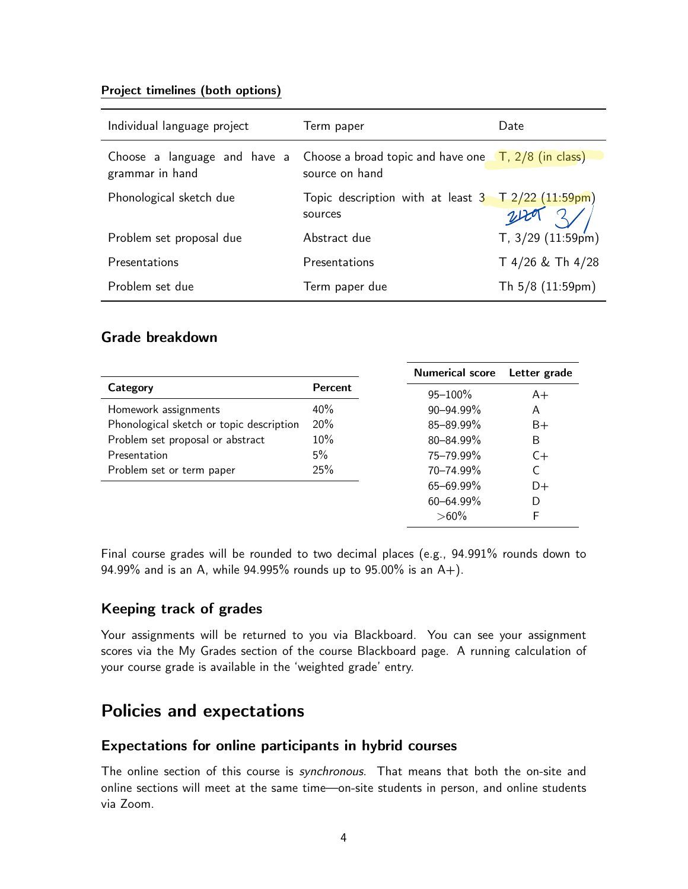### **Project timelines (both options)**

| Individual language project                     | Term paper                                                                   | Date                          |
|-------------------------------------------------|------------------------------------------------------------------------------|-------------------------------|
| Choose a language and have a<br>grammar in hand | Choose a broad topic and have one $\pi$ , $2/8$ (in class)<br>source on hand |                               |
| Phonological sketch due                         | Topic description with at least 3 T 2/22 (11:59pm)<br>sources                | 240                           |
| Problem set proposal due                        | Abstract due                                                                 | T, $3/29$ $(11.59 \text{pm})$ |
| Presentations                                   | Presentations                                                                | T 4/26 & Th 4/28              |
| Problem set due                                 | Term paper due                                                               | Th 5/8 (11:59pm)              |

# **Grade breakdown**

|                                          | <b>Numerical score</b> | Letter grade |      |
|------------------------------------------|------------------------|--------------|------|
| Category                                 | Percent                | $95 - 100\%$ | $A+$ |
| Homework assignments                     | $40\%$                 | 90-94.99%    | A    |
| Phonological sketch or topic description | 20%                    | 85-89.99%    | $B+$ |
| Problem set proposal or abstract         | 10%                    | 80-84.99%    | B    |
| Presentation                             | 5%                     | 75-79.99%    | $C+$ |
| Problem set or term paper                | 25%                    | 70-74.99%    | C    |
|                                          |                        | 65-69.99%    | D+   |
|                                          |                        | 60-64.99%    | D    |
|                                          |                        | $>60\%$      | F    |

Final course grades will be rounded to two decimal places (e.g., 94.991% rounds down to 94.99% and is an A, while 94.995% rounds up to 95.00% is an A+).

# **Keeping track of grades**

Your assignments will be returned to you via Blackboard. You can see your assignment scores via the My Grades section of the course Blackboard page. A running calculation of your course grade is available in the 'weighted grade' entry.

# **Policies and expectations**

# **Expectations for online participants in hybrid courses**

The online section of this course is *synchronous*. That means that both the on-site and online sections will meet at the same time—on-site students in person, and online students via Zoom.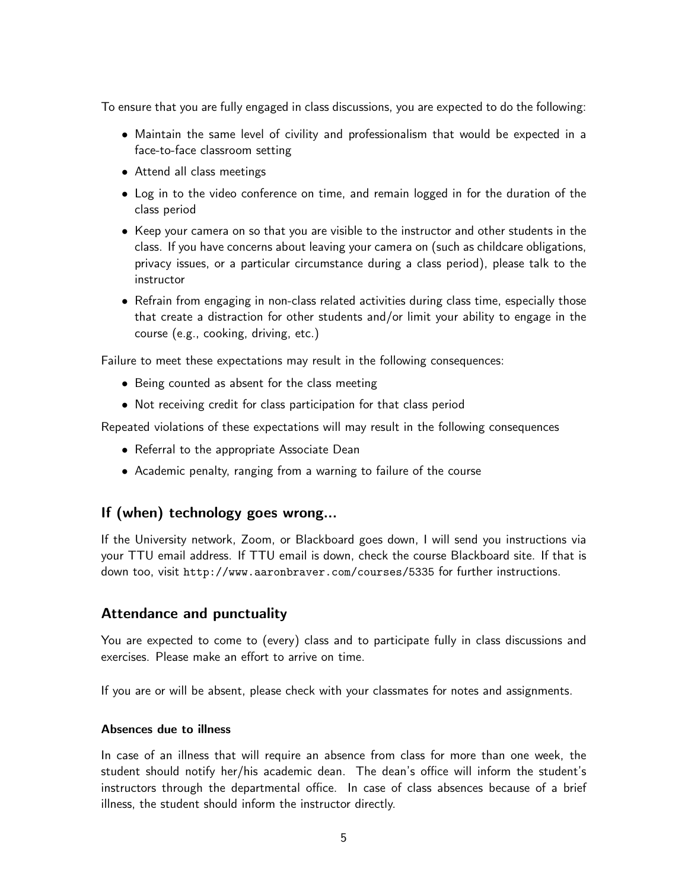To ensure that you are fully engaged in class discussions, you are expected to do the following:

- Maintain the same level of civility and professionalism that would be expected in a face-to-face classroom setting
- Attend all class meetings
- Log in to the video conference on time, and remain logged in for the duration of the class period
- Keep your camera on so that you are visible to the instructor and other students in the class. If you have concerns about leaving your camera on (such as childcare obligations, privacy issues, or a particular circumstance during a class period), please talk to the instructor
- Refrain from engaging in non-class related activities during class time, especially those that create a distraction for other students and/or limit your ability to engage in the course (e.g., cooking, driving, etc.)

Failure to meet these expectations may result in the following consequences:

- Being counted as absent for the class meeting
- Not receiving credit for class participation for that class period

Repeated violations of these expectations will may result in the following consequences

- Referral to the appropriate Associate Dean
- Academic penalty, ranging from a warning to failure of the course

# **If (when) technology goes wrong…**

If the University network, Zoom, or Blackboard goes down, I will send you instructions via your TTU email address. If TTU email is down, check the course Blackboard site. If that is down too, visit <http://www.aaronbraver.com/courses/5335> for further instructions.

## **Attendance and punctuality**

You are expected to come to (every) class and to participate fully in class discussions and exercises. Please make an effort to arrive on time.

If you are or will be absent, please check with your classmates for notes and assignments.

#### **Absences due to illness**

In case of an illness that will require an absence from class for more than one week, the student should notify her/his academic dean. The dean's office will inform the student's instructors through the departmental office. In case of class absences because of a brief illness, the student should inform the instructor directly.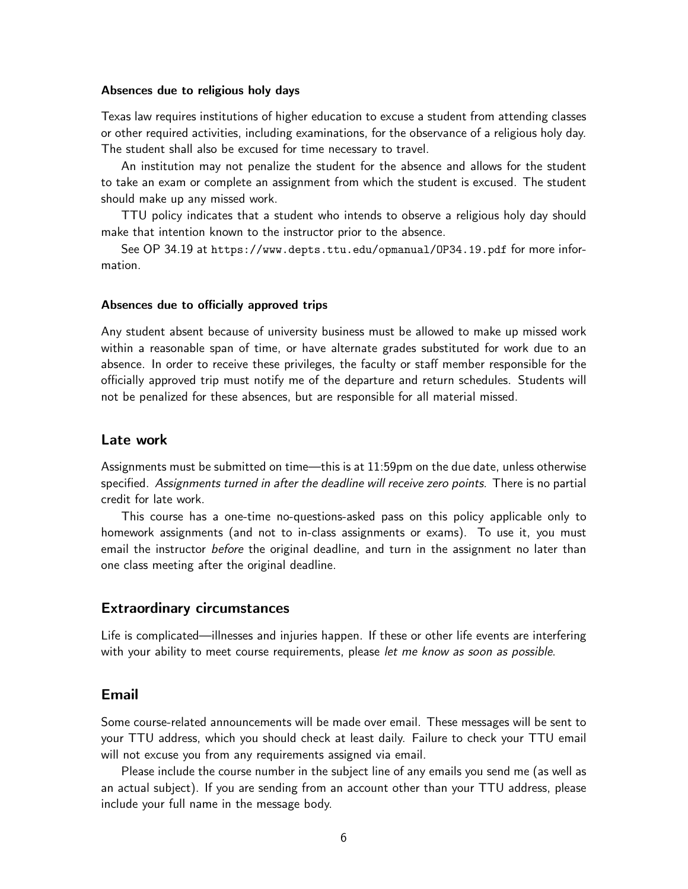#### **Absences due to religious holy days**

Texas law requires institutions of higher education to excuse a student from attending classes or other required activities, including examinations, for the observance of a religious holy day. The student shall also be excused for time necessary to travel.

An institution may not penalize the student for the absence and allows for the student to take an exam or complete an assignment from which the student is excused. The student should make up any missed work.

TTU policy indicates that a student who intends to observe a religious holy day should make that intention known to the instructor prior to the absence.

See OP 34.19 at <https://www.depts.ttu.edu/opmanual/OP34.19.pdf> for more information.

#### **Absences due to officially approved trips**

Any student absent because of university business must be allowed to make up missed work within a reasonable span of time, or have alternate grades substituted for work due to an absence. In order to receive these privileges, the faculty or staff member responsible for the officially approved trip must notify me of the departure and return schedules. Students will not be penalized for these absences, but are responsible for all material missed.

### **Late work**

Assignments must be submitted on time—this is at 11:59pm on the due date, unless otherwise specified. *Assignments turned in after the deadline will receive zero points.* There is no partial credit for late work.

This course has a one-time no-questions-asked pass on this policy applicable only to homework assignments (and not to in-class assignments or exams). To use it, you must email the instructor *before* the original deadline, and turn in the assignment no later than one class meeting after the original deadline.

#### **Extraordinary circumstances**

Life is complicated—illnesses and injuries happen. If these or other life events are interfering with your ability to meet course requirements, please *let me know as soon as possible*.

#### **Email**

Some course-related announcements will be made over email. These messages will be sent to your TTU address, which you should check at least daily. Failure to check your TTU email will not excuse you from any requirements assigned via email.

Please include the course number in the subject line of any emails you send me (as well as an actual subject). If you are sending from an account other than your TTU address, please include your full name in the message body.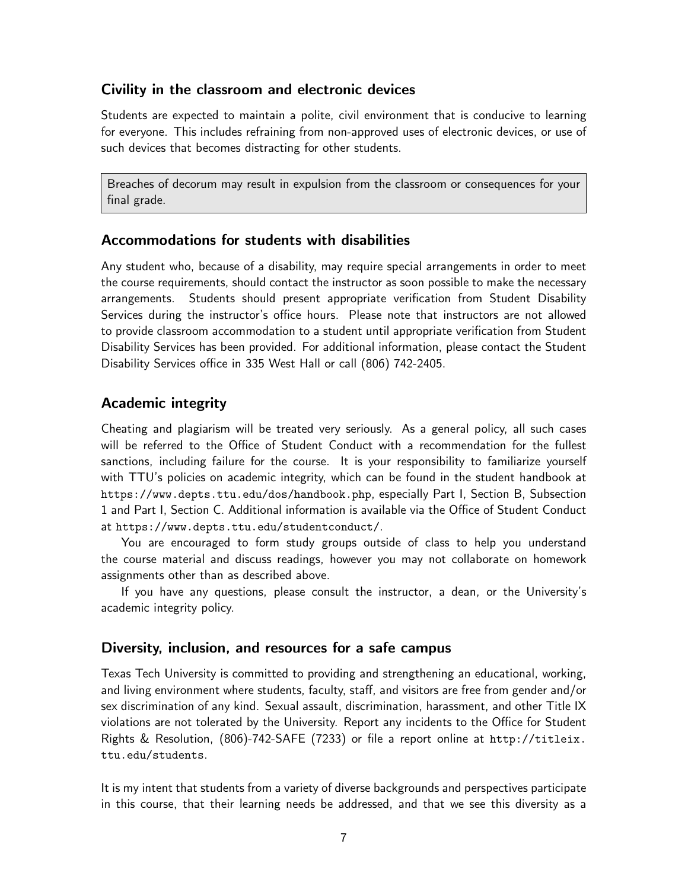# **Civility in the classroom and electronic devices**

Students are expected to maintain a polite, civil environment that is conducive to learning for everyone. This includes refraining from non-approved uses of electronic devices, or use of such devices that becomes distracting for other students.

Breaches of decorum may result in expulsion from the classroom or consequences for your final grade.

## **Accommodations for students with disabilities**

Any student who, because of a disability, may require special arrangements in order to meet the course requirements, should contact the instructor as soon possible to make the necessary arrangements. Students should present appropriate verification from Student Disability Services during the instructor's office hours. Please note that instructors are not allowed to provide classroom accommodation to a student until appropriate verification from Student Disability Services has been provided. For additional information, please contact the Student Disability Services office in 335 West Hall or call (806) 742-2405.

# **Academic integrity**

Cheating and plagiarism will be treated very seriously. As a general policy, all such cases will be referred to the Office of Student Conduct with a recommendation for the fullest sanctions, including failure for the course. It is your responsibility to familiarize yourself with TTU's policies on academic integrity, which can be found in the student handbook at <https://www.depts.ttu.edu/dos/handbook.php>, especially Part I, Section B, Subsection 1 and Part I, Section C. Additional information is available via the Office of Student Conduct at <https://www.depts.ttu.edu/studentconduct/>.

You are encouraged to form study groups outside of class to help you understand the course material and discuss readings, however you may not collaborate on homework assignments other than as described above.

If you have any questions, please consult the instructor, a dean, or the University's academic integrity policy.

## **Diversity, inclusion, and resources for a safe campus**

Texas Tech University is committed to providing and strengthening an educational, working, and living environment where students, faculty, staff, and visitors are free from gender and/or sex discrimination of any kind. Sexual assault, discrimination, harassment, and other Title IX violations are not tolerated by the University. Report any incidents to the Office for Student Rights & Resolution, (806)-742-SAFE (7233) or file a report online at [http://titleix.](http://titleix.ttu.edu/students) [ttu.edu/students](http://titleix.ttu.edu/students).

It is my intent that students from a variety of diverse backgrounds and perspectives participate in this course, that their learning needs be addressed, and that we see this diversity as a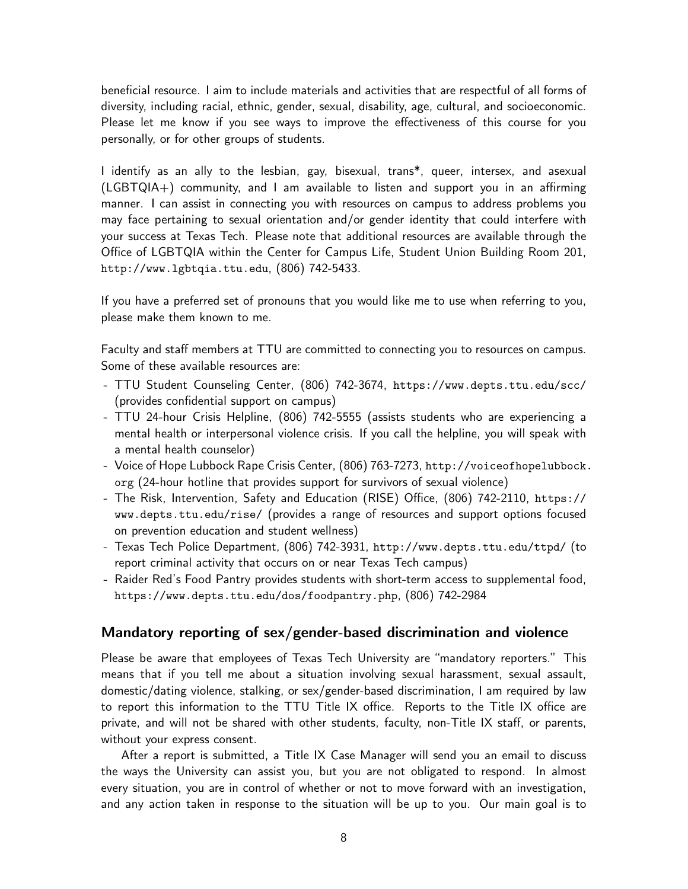beneficial resource. I aim to include materials and activities that are respectful of all forms of diversity, including racial, ethnic, gender, sexual, disability, age, cultural, and socioeconomic. Please let me know if you see ways to improve the effectiveness of this course for you personally, or for other groups of students.

I identify as an ally to the lesbian, gay, bisexual, trans\*, queer, intersex, and asexual (LGBTQIA+) community, and I am available to listen and support you in an affirming manner. I can assist in connecting you with resources on campus to address problems you may face pertaining to sexual orientation and/or gender identity that could interfere with your success at Texas Tech. Please note that additional resources are available through the Office of LGBTQIA within the Center for Campus Life, Student Union Building Room 201, <http://www.lgbtqia.ttu.edu>, (806) 742-5433.

If you have a preferred set of pronouns that you would like me to use when referring to you, please make them known to me.

Faculty and staff members at TTU are committed to connecting you to resources on campus. Some of these available resources are:

- TTU Student Counseling Center, (806) 742-3674, <https://www.depts.ttu.edu/scc/> (provides confidential support on campus)
- TTU 24-hour Crisis Helpline, (806) 742-5555 (assists students who are experiencing a mental health or interpersonal violence crisis. If you call the helpline, you will speak with a mental health counselor)
- Voice of Hope Lubbock Rape Crisis Center, (806) 763-7273, [http://voiceofhopelubbock.](http://voiceofhopelubbock.org) [org](http://voiceofhopelubbock.org) (24-hour hotline that provides support for survivors of sexual violence)
- The Risk, Intervention, Safety and Education (RISE) Office, (806) 742-2110, [https://](https://www.depts.ttu.edu/rise/) [www.depts.ttu.edu/rise/](https://www.depts.ttu.edu/rise/) (provides a range of resources and support options focused on prevention education and student wellness)
- Texas Tech Police Department, (806) 742-3931, <http://www.depts.ttu.edu/ttpd/> (to report criminal activity that occurs on or near Texas Tech campus)
- Raider Red's Food Pantry provides students with short-term access to supplemental food, <https://www.depts.ttu.edu/dos/foodpantry.php>, (806) 742-2984

## **Mandatory reporting of sex/gender-based discrimination and violence**

Please be aware that employees of Texas Tech University are "mandatory reporters." This means that if you tell me about a situation involving sexual harassment, sexual assault, domestic/dating violence, stalking, or sex/gender-based discrimination, I am required by law to report this information to the TTU Title IX office. Reports to the Title IX office are private, and will not be shared with other students, faculty, non-Title IX staff, or parents, without your express consent.

After a report is submitted, a Title IX Case Manager will send you an email to discuss the ways the University can assist you, but you are not obligated to respond. In almost every situation, you are in control of whether or not to move forward with an investigation, and any action taken in response to the situation will be up to you. Our main goal is to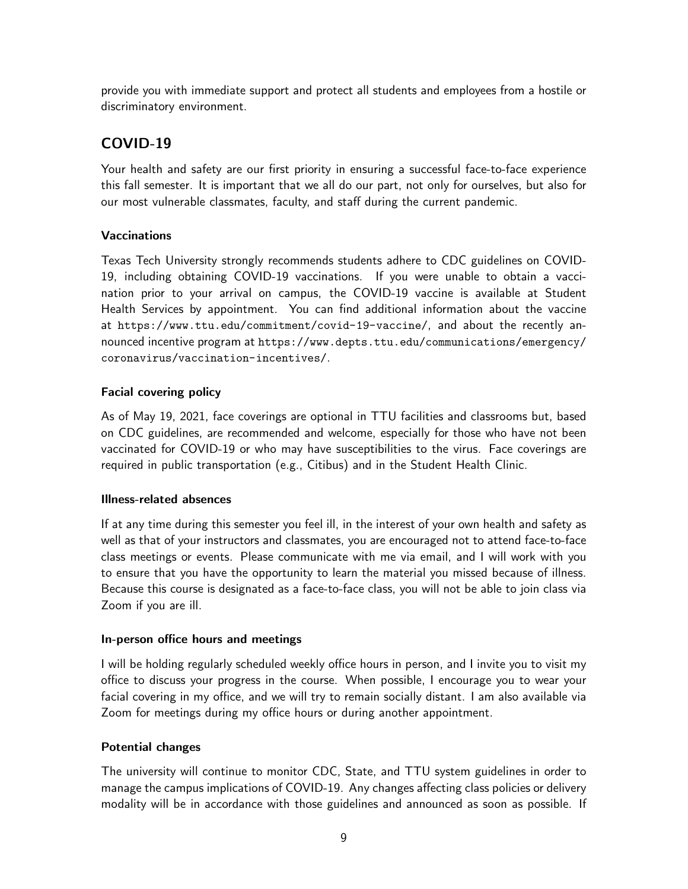provide you with immediate support and protect all students and employees from a hostile or discriminatory environment.

# **COVID-19**

Your health and safety are our first priority in ensuring a successful face-to-face experience this fall semester. It is important that we all do our part, not only for ourselves, but also for our most vulnerable classmates, faculty, and staff during the current pandemic.

# **Vaccinations**

Texas Tech University strongly recommends students adhere to CDC guidelines on COVID-19, including obtaining COVID-19 vaccinations. If you were unable to obtain a vaccination prior to your arrival on campus, the COVID-19 vaccine is available at Student Health Services by appointment. You can find additional information about the vaccine at <https://www.ttu.edu/commitment/covid-19-vaccine/>, and about the recently announced incentive program at [https://www.depts.ttu.edu/communications/emergency/](https://www.depts.ttu.edu/communications/emergency/coronavirus/vaccination-incentives/) [coronavirus/vaccination-incentives/](https://www.depts.ttu.edu/communications/emergency/coronavirus/vaccination-incentives/).

# **Facial covering policy**

As of May 19, 2021, face coverings are optional in TTU facilities and classrooms but, based on CDC guidelines, are recommended and welcome, especially for those who have not been vaccinated for COVID-19 or who may have susceptibilities to the virus. Face coverings are required in public transportation (e.g., Citibus) and in the Student Health Clinic.

## **Illness-related absences**

If at any time during this semester you feel ill, in the interest of your own health and safety as well as that of your instructors and classmates, you are encouraged not to attend face-to-face class meetings or events. Please communicate with me via email, and I will work with you to ensure that you have the opportunity to learn the material you missed because of illness. Because this course is designated as a face-to-face class, you will not be able to join class via Zoom if you are ill.

## **In-person office hours and meetings**

I will be holding regularly scheduled weekly office hours in person, and I invite you to visit my office to discuss your progress in the course. When possible, I encourage you to wear your facial covering in my office, and we will try to remain socially distant. I am also available via Zoom for meetings during my office hours or during another appointment.

# **Potential changes**

The university will continue to monitor CDC, State, and TTU system guidelines in order to manage the campus implications of COVID-19. Any changes affecting class policies or delivery modality will be in accordance with those guidelines and announced as soon as possible. If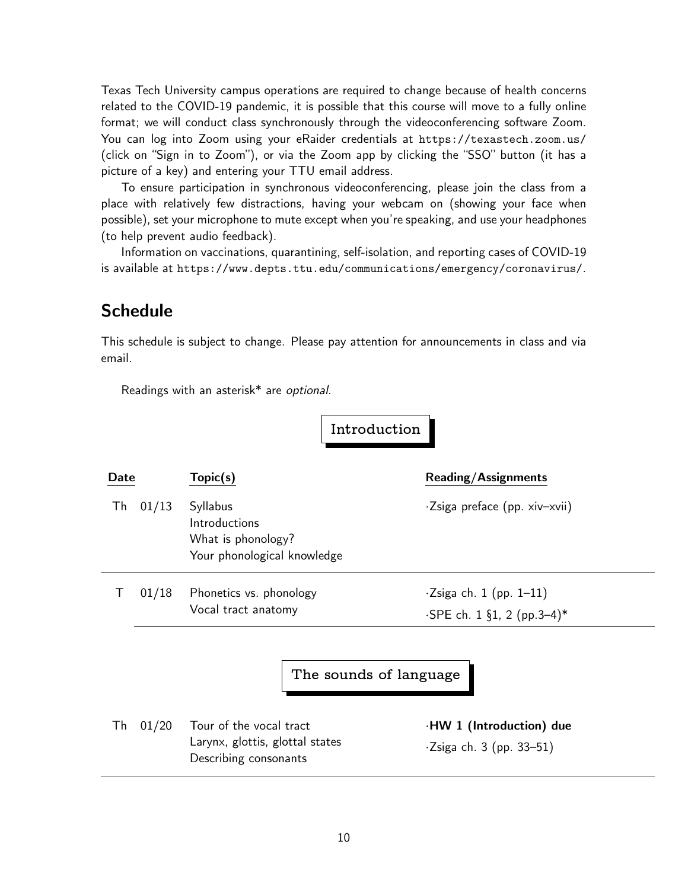Texas Tech University campus operations are required to change because of health concerns related to the COVID-19 pandemic, it is possible that this course will move to a fully online format; we will conduct class synchronously through the videoconferencing software Zoom. You can log into Zoom using your eRaider credentials at <https://texastech.zoom.us/> (click on "Sign in to Zoom"), or via the Zoom app by clicking the "SSO" button (it has a picture of a key) and entering your TTU email address.

To ensure participation in synchronous videoconferencing, please join the class from a place with relatively few distractions, having your webcam on (showing your face when possible), set your microphone to mute except when you're speaking, and use your headphones (to help prevent audio feedback).

Information on vaccinations, quarantining, self-isolation, and reporting cases of COVID-19 is available at <https://www.depts.ttu.edu/communications/emergency/coronavirus/>.

# **Schedule**

This schedule is subject to change. Please pay attention for announcements in class and via email.

Readings with an asterisk\* are *optional*.

**Introduction**

| Date |       | Topic(s)                                                                       |                        | <b>Reading/Assignments</b>                                   |
|------|-------|--------------------------------------------------------------------------------|------------------------|--------------------------------------------------------------|
| Th   | 01/13 | Syllabus<br>Introductions<br>What is phonology?<br>Your phonological knowledge |                        | ·Zsiga preface (pp. xiv-xvii)                                |
|      | 01/18 | Phonetics vs. phonology<br>Vocal tract anatomy                                 |                        | $\cdot$ Zsiga ch. 1 (pp. 1–11)<br>·SPE ch. 1 §1, 2 (pp.3-4)* |
|      |       |                                                                                | The sounds of language |                                                              |

Th 01/20 Tour of the vocal tract Larynx, glottis, glottal states Describing consonants

*·***HW 1 (Introduction) due** *·*Zsiga ch. 3 (pp. 33–51)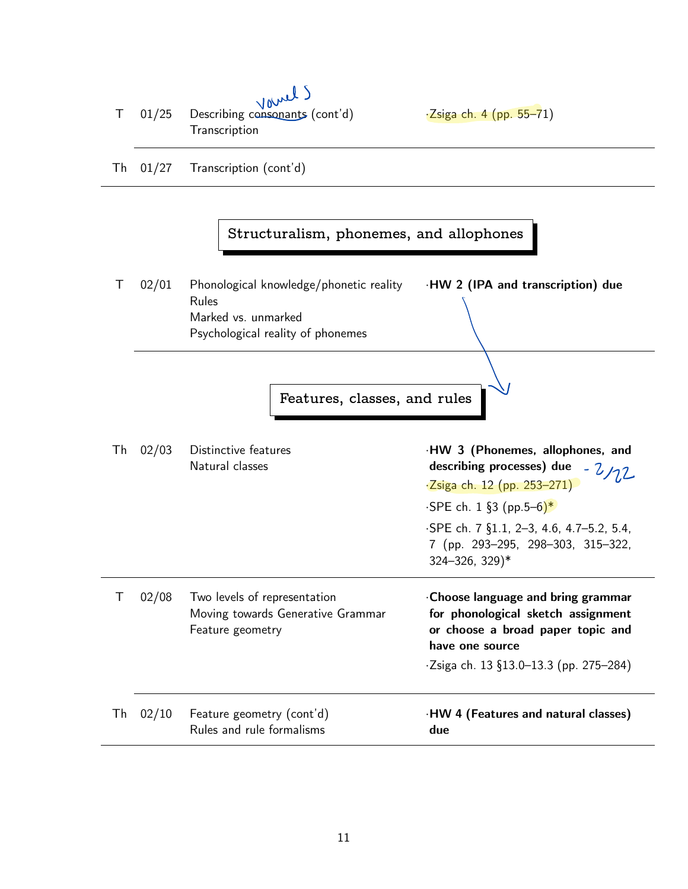| Τ  | 01/25      | v v<br>Describing consonants (cont'd)<br>Transcription                                                       | $\cdot$ Zsiga ch. 4 (pp. 55–71)                                                                                                                                                  |
|----|------------|--------------------------------------------------------------------------------------------------------------|----------------------------------------------------------------------------------------------------------------------------------------------------------------------------------|
|    | Th $01/27$ | Transcription (cont'd)                                                                                       |                                                                                                                                                                                  |
|    |            | Structuralism, phonemes, and allophones                                                                      |                                                                                                                                                                                  |
| Τ  | 02/01      | Phonological knowledge/phonetic reality<br>Rules<br>Marked vs. unmarked<br>Psychological reality of phonemes | ·HW 2 (IPA and transcription) due                                                                                                                                                |
|    |            | Features, classes, and rules                                                                                 |                                                                                                                                                                                  |
| Th | 02/03      | Distinctive features<br>Natural classes                                                                      | ·HW 3 (Phonemes, allophones, and<br>describing processes) due $-2$<br>$\cdot$ Zsiga ch. 12 (pp. 253-271)<br>$\cdot$ SPE ch. 1 §3 (pp.5–6)*                                       |
|    |            |                                                                                                              | ·SPE ch. 7 §1.1, 2-3, 4.6, 4.7-5.2, 5.4,<br>7 (pp. 293-295, 298-303, 315-322,<br>$324 - 326$ , $329$ <sup>*</sup>                                                                |
| Τ  | 02/08      | Two levels of representation<br>Moving towards Generative Grammar<br>Feature geometry                        | Choose language and bring grammar<br>for phonological sketch assignment<br>or choose a broad paper topic and<br>have one source<br>$\cdot$ Zsiga ch. 13 §13.0-13.3 (pp. 275-284) |
|    | Th $02/10$ | Feature geometry (cont'd)<br>Rules and rule formalisms                                                       | .HW 4 (Features and natural classes)<br>due                                                                                                                                      |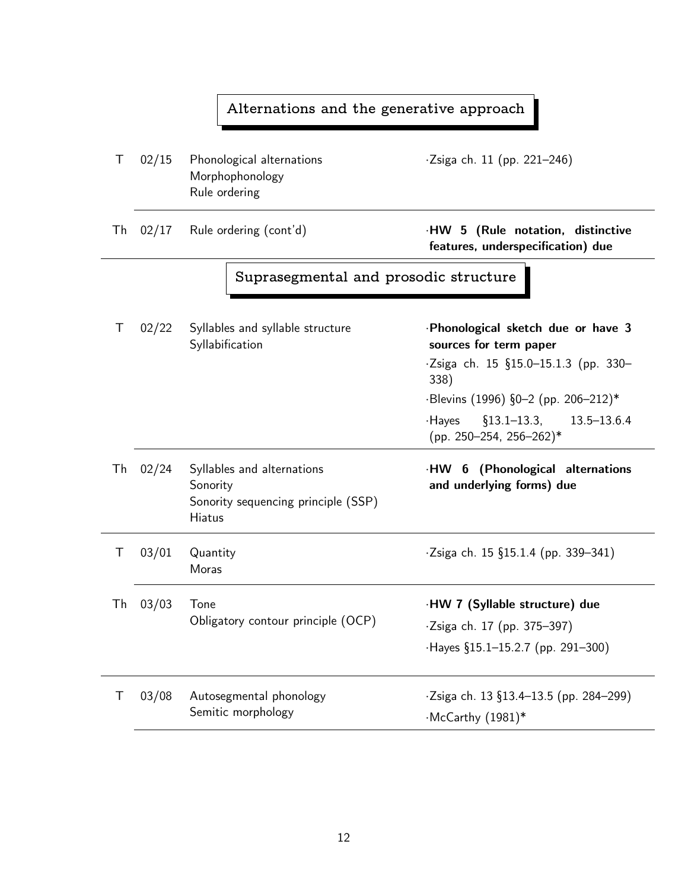|    | Alternations and the generative approach |                                                                                                |                                                                                                                                                                                                                                       |  |
|----|------------------------------------------|------------------------------------------------------------------------------------------------|---------------------------------------------------------------------------------------------------------------------------------------------------------------------------------------------------------------------------------------|--|
| Τ  | 02/15                                    | Phonological alternations<br>Morphophonology<br>Rule ordering                                  | $\cdot$ Zsiga ch. 11 (pp. 221–246)                                                                                                                                                                                                    |  |
| Th | 02/17                                    | Rule ordering (cont'd)                                                                         | ·HW 5 (Rule notation, distinctive<br>features, underspecification) due                                                                                                                                                                |  |
|    | Suprasegmental and prosodic structure    |                                                                                                |                                                                                                                                                                                                                                       |  |
| Τ  | 02/22                                    | Syllables and syllable structure<br>Syllabification                                            | ·Phonological sketch due or have 3<br>sources for term paper<br>$\cdot$ Zsiga ch. 15 §15.0–15.1.3 (pp. 330–<br>338)<br>$\cdot$ Blevins (1996) §0-2 (pp. 206-212)*<br>$\S$ 13.1–13.3, 13.5–13.6.4<br>·Hayes<br>(pp. 250-254, 256-262)* |  |
| Th | 02/24                                    | Syllables and alternations<br>Sonority<br>Sonority sequencing principle (SSP)<br><b>Hiatus</b> | ·HW 6 (Phonological alternations<br>and underlying forms) due                                                                                                                                                                         |  |
| Τ  | 03/01                                    | Quantity<br>Moras                                                                              | $\cdot$ Zsiga ch. 15 §15.1.4 (pp. 339-341)                                                                                                                                                                                            |  |
| Тh | 03/03                                    | Tone<br>Obligatory contour principle (OCP)                                                     | ·HW 7 (Syllable structure) due<br>·Zsiga ch. 17 (pp. 375-397)<br>$-Hayes$ §15.1-15.2.7 (pp. 291-300)                                                                                                                                  |  |
| Τ  | 03/08                                    | Autosegmental phonology<br>Semitic morphology                                                  | $\cdot$ Zsiga ch. 13 §13.4–13.5 (pp. 284–299)<br>·McCarthy (1981)*                                                                                                                                                                    |  |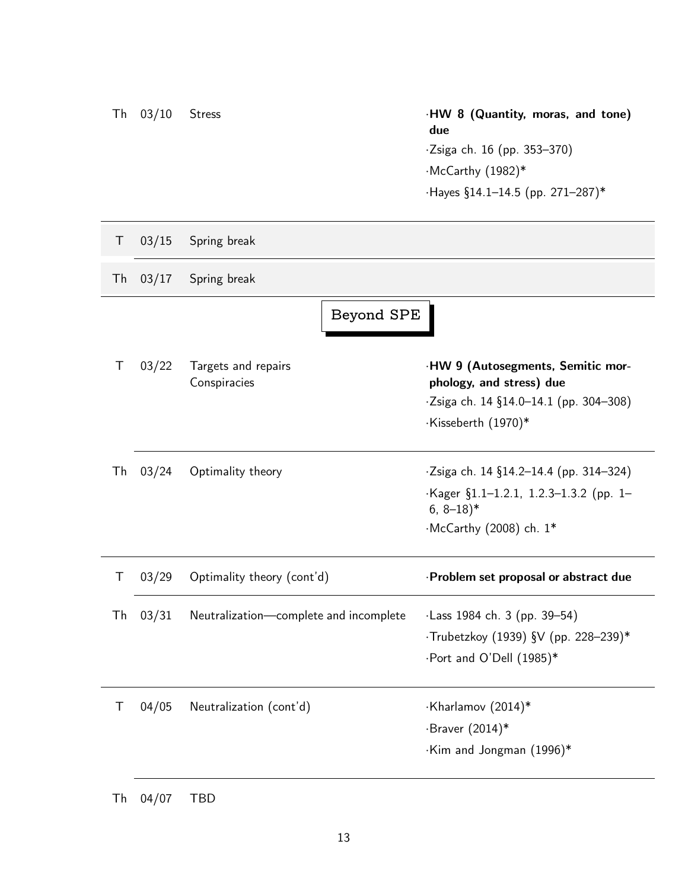| Th | 03/10 | <b>Stress</b>                          | ·HW 8 (Quantity, moras, and tone)<br>due<br>·Zsiga ch. 16 (pp. 353-370)<br>·McCarthy (1982)*<br>$\cdot$ Hayes §14.1-14.5 (pp. 271-287)*               |
|----|-------|----------------------------------------|-------------------------------------------------------------------------------------------------------------------------------------------------------|
| Τ  | 03/15 | Spring break                           |                                                                                                                                                       |
| Th | 03/17 | Spring break                           |                                                                                                                                                       |
|    |       | Beyond SPE                             |                                                                                                                                                       |
| Τ  | 03/22 | Targets and repairs<br>Conspiracies    | ·HW 9 (Autosegments, Semitic mor-<br>phology, and stress) due<br>$\cdot$ Zsiga ch. 14 §14.0-14.1 (pp. 304-308)<br>·Kisseberth (1970)*                 |
| Th | 03/24 | Optimality theory                      | $\cdot$ Zsiga ch. 14 §14.2-14.4 (pp. 314-324)<br>$Kager \S1.1-1.2.1, 1.2.3-1.3.2$ (pp. 1-<br>$6, 8-18$ <sup>*</sup><br>$\cdot$ McCarthy (2008) ch. 1* |
| Τ  | 03/29 | Optimality theory (cont'd)             | ·Problem set proposal or abstract due                                                                                                                 |
| Th | 03/31 | Neutralization-complete and incomplete | ·Lass 1984 ch. 3 (pp. 39-54)<br>·Trubetzkoy (1939) §V (pp. 228-239)*<br>·Port and O'Dell (1985)*                                                      |
| Τ  | 04/05 | Neutralization (cont'd)                | ·Kharlamov (2014)*<br>$\cdot$ Braver (2014)*<br>.Kim and Jongman (1996)*                                                                              |

Th 04/07 TBD